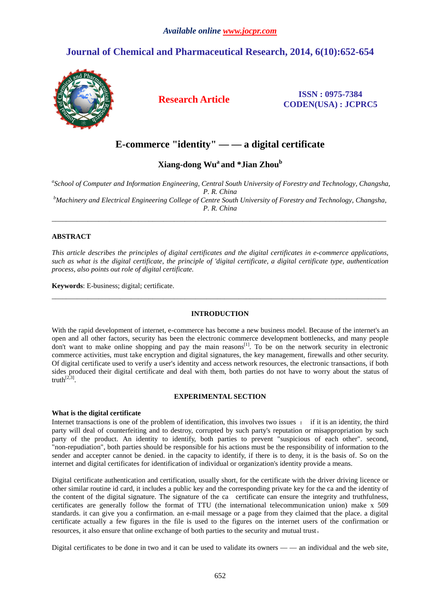# **Journal of Chemical and Pharmaceutical Research, 2014, 6(10):652-654**



## **Research Article ISSN : 0975-7384 CODEN(USA) : JCPRC5**

## **E-commerce "identity" — — a digital certificate**

**Xiang-dong Wu<sup>a</sup>and \*Jian Zhou<sup>b</sup>**

*a School of Computer and Information Engineering, Central South University of Forestry and Technology, Changsha, P. R. China <sup>b</sup>Machinery and Electrical Engineering College of Centre South University of Forestry and Technology, Changsha, P. R. China* 

\_\_\_\_\_\_\_\_\_\_\_\_\_\_\_\_\_\_\_\_\_\_\_\_\_\_\_\_\_\_\_\_\_\_\_\_\_\_\_\_\_\_\_\_\_\_\_\_\_\_\_\_\_\_\_\_\_\_\_\_\_\_\_\_\_\_\_\_\_\_\_\_\_\_\_\_\_\_\_\_\_\_\_\_\_\_\_\_\_\_\_\_\_

## **ABSTRACT**

*This article describes the principles of digital certificates and the digital certificates in e-commerce applications, such as what is the digital certificate, the principle of 'digital certificate, a digital certificate type, authentication process, also points out role of digital certificate.* 

**Keywords**: E-business; digital; certificate.

## **INTRODUCTION**

\_\_\_\_\_\_\_\_\_\_\_\_\_\_\_\_\_\_\_\_\_\_\_\_\_\_\_\_\_\_\_\_\_\_\_\_\_\_\_\_\_\_\_\_\_\_\_\_\_\_\_\_\_\_\_\_\_\_\_\_\_\_\_\_\_\_\_\_\_\_\_\_\_\_\_\_\_\_\_\_\_\_\_\_\_\_\_\_\_\_\_\_\_

With the rapid development of internet, e-commerce has become a new business model. Because of the internet's an open and all other factors, security has been the electronic commerce development bottlenecks, and many people don't want to make online shopping and pay the main reasons<sup>[1]</sup>. To be on the network security in electronic commerce activities, must take encryption and digital signatures, the key management, firewalls and other security. Of digital certificate used to verify a user's identity and access network resources, the electronic transactions, if both sides produced their digital certificate and deal with them, both parties do not have to worry about the status of truth $^{[2,3]}$ .

### **EXPERIMENTAL SECTION**

### **What is the digital certificate**

Internet transactions is one of the problem of identification, this involves two issues : if it is an identity, the third party will deal of counterfeiting and to destroy, corrupted by such party's reputation or misappropriation by such party of the product. An identity to identify, both parties to prevent "suspicious of each other". second, "non-repudiation", both parties should be responsible for his actions must be the responsibility of information to the sender and accepter cannot be denied. in the capacity to identify, if there is to deny, it is the basis of. So on the internet and digital certificates for identification of individual or organization's identity provide a means.

Digital certificate authentication and certification, usually short, for the certificate with the driver driving licence or other similar routine id card, it includes a public key and the corresponding private key for the ca and the identity of the content of the digital signature. The signature of the ca certificate can ensure the integrity and truthfulness, certificates are generally follow the format of TTU (the international telecommunication union) make x 509 standards. it can give you a confirmation. an e-mail message or a page from they claimed that the place. a digital certificate actually a few figures in the file is used to the figures on the internet users of the confirmation or resources, it also ensure that online exchange of both parties to the security and mutual trust。

Digital certificates to be done in two and it can be used to validate its owners — — an individual and the web site,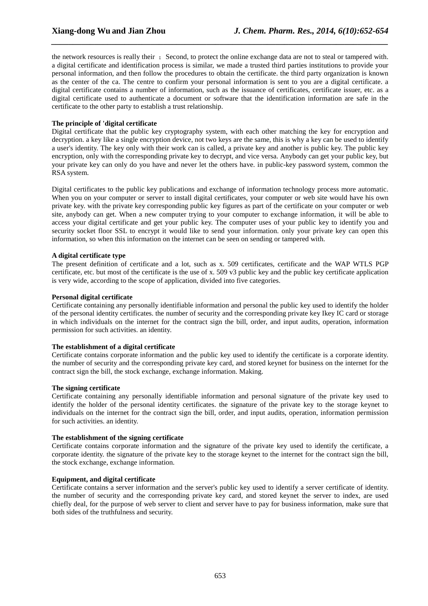the network resources is really their ; Second, to protect the online exchange data are not to steal or tampered with. a digital certificate and identification process is similar, we made a trusted third parties institutions to provide your personal information, and then follow the procedures to obtain the certificate. the third party organization is known as the center of the ca. The centre to confirm your personal information is sent to you are a digital certificate. a digital certificate contains a number of information, such as the issuance of certificates, certificate issuer, etc. as a digital certificate used to authenticate a document or software that the identification information are safe in the certificate to the other party to establish a trust relationship.

*\_\_\_\_\_\_\_\_\_\_\_\_\_\_\_\_\_\_\_\_\_\_\_\_\_\_\_\_\_\_\_\_\_\_\_\_\_\_\_\_\_\_\_\_\_\_\_\_\_\_\_\_\_\_\_\_\_\_\_\_\_\_\_\_\_\_\_\_\_\_\_\_\_\_\_\_\_\_*

### **The principle of 'digital certificate**

Digital certificate that the public key cryptography system, with each other matching the key for encryption and decryption. a key like a single encryption device, not two keys are the same, this is why a key can be used to identify a user's identity. The key only with their work can is called, a private key and another is public key. The public key encryption, only with the corresponding private key to decrypt, and vice versa. Anybody can get your public key, but your private key can only do you have and never let the others have. in public-key password system, common the RSA system.

Digital certificates to the public key publications and exchange of information technology process more automatic. When you on your computer or server to install digital certificates, your computer or web site would have his own private key. with the private key corresponding public key figures as part of the certificate on your computer or web site, anybody can get. When a new computer trying to your computer to exchange information, it will be able to access your digital certificate and get your public key. The computer uses of your public key to identify you and security socket floor SSL to encrypt it would like to send your information. only your private key can open this information, so when this information on the internet can be seen on sending or tampered with.

### **A digital certificate type**

The present definition of certificate and a lot, such as x. 509 certificates, certificate and the WAP WTLS PGP certificate, etc. but most of the certificate is the use of x. 509 v3 public key and the public key certificate application is very wide, according to the scope of application, divided into five categories.

## **Personal digital certificate**

Certificate containing any personally identifiable information and personal the public key used to identify the holder of the personal identity certificates. the number of security and the corresponding private key Ikey IC card or storage in which individuals on the internet for the contract sign the bill, order, and input audits, operation, information permission for such activities. an identity.

## **The establishment of a digital certificate**

Certificate contains corporate information and the public key used to identify the certificate is a corporate identity. the number of security and the corresponding private key card, and stored keynet for business on the internet for the contract sign the bill, the stock exchange, exchange information. Making.

### **The signing certificate**

Certificate containing any personally identifiable information and personal signature of the private key used to identify the holder of the personal identity certificates. the signature of the private key to the storage keynet to individuals on the internet for the contract sign the bill, order, and input audits, operation, information permission for such activities. an identity.

### **The establishment of the signing certificate**

Certificate contains corporate information and the signature of the private key used to identify the certificate, a corporate identity. the signature of the private key to the storage keynet to the internet for the contract sign the bill, the stock exchange, exchange information.

## **Equipment, and digital certificate**

Certificate contains a server information and the server's public key used to identify a server certificate of identity. the number of security and the corresponding private key card, and stored keynet the server to index, are used chiefly deal, for the purpose of web server to client and server have to pay for business information, make sure that both sides of the truthfulness and security.